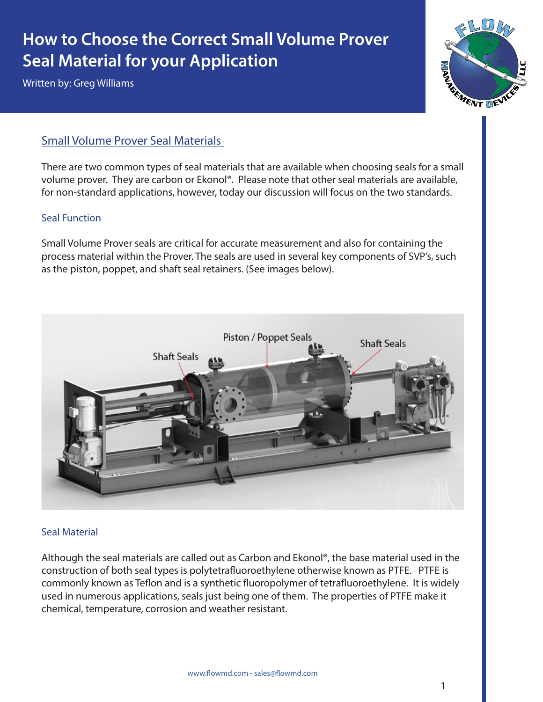# **How to Choose the Correct Small Volume Prover Seal Material for your Application**

Written by: Greg Williams



## Small Volume Prover Seal Materials

There are two common types of seal materials that are available when choosing seals for a small volume prover. They are carbon or Ekonol®. Please note that other seal materials are available, for non-standard applications, however, today our discussion will focus on the two standards.

#### Seal Function

Small Volume Prover seals are critical for accurate measurement and also for containing the process material within the Prover. The seals are used in several key components of SVP's, such as the piston, poppet, and shaft seal retainers. (See images below).



#### Seal Material

Although the seal materials are called out as Carbon and Ekonol®, the base material used in the construction of both seal types is polytetrafluoroethylene otherwise known as PTFE. PTFE is commonly known as Teflon and is a synthetic fluoropolymer of tetrafluoroethylene. It is widely used in numerous applications, seals just being one of them. The properties of PTFE make it chemical, temperature, corrosion and weather resistant.